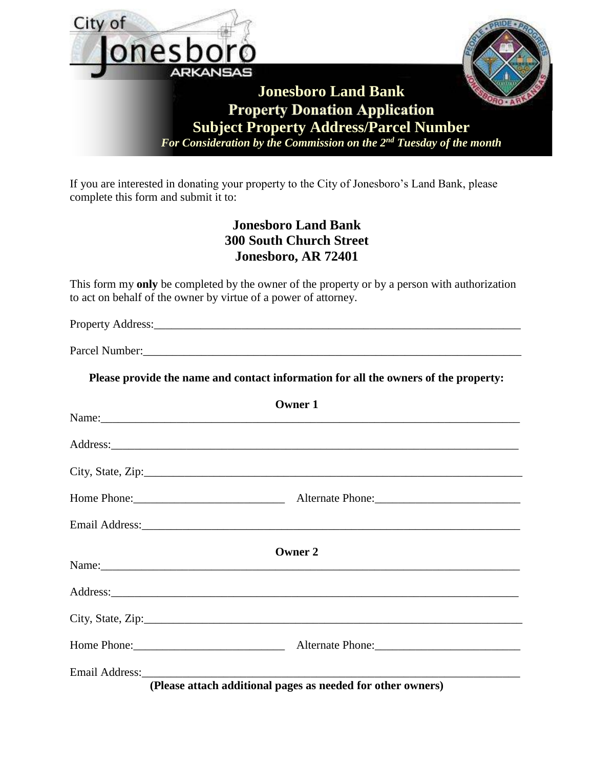

|                                                                                                                                                                                                                               | <b>OWHELL</b>                                               |  |
|-------------------------------------------------------------------------------------------------------------------------------------------------------------------------------------------------------------------------------|-------------------------------------------------------------|--|
|                                                                                                                                                                                                                               |                                                             |  |
|                                                                                                                                                                                                                               |                                                             |  |
|                                                                                                                                                                                                                               |                                                             |  |
|                                                                                                                                                                                                                               |                                                             |  |
|                                                                                                                                                                                                                               | Owner 2                                                     |  |
|                                                                                                                                                                                                                               |                                                             |  |
|                                                                                                                                                                                                                               |                                                             |  |
|                                                                                                                                                                                                                               |                                                             |  |
| Email Address: 1988 and 2008 and 2008 and 2008 and 2008 and 2008 and 2008 and 2008 and 2008 and 2008 and 2008 and 2008 and 2008 and 2008 and 2008 and 2008 and 2008 and 2008 and 2008 and 2008 and 2008 and 2008 and 2008 and | (Plasse stigch additional pages as needed for other owners) |  |

**(Please attach additional pages as needed for other owners)**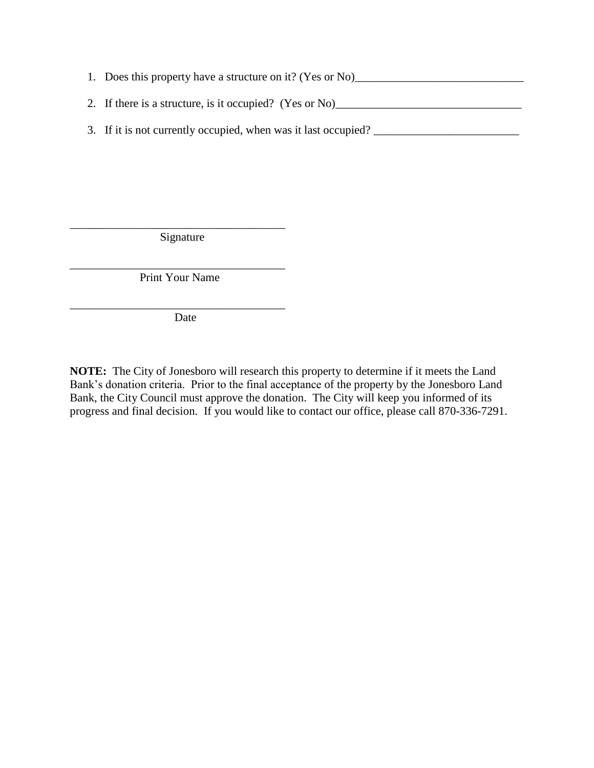- 1. Does this property have a structure on it? (Yes or No)\_\_\_\_\_\_\_\_\_\_\_\_\_\_\_\_\_\_\_\_\_\_\_\_ 2. If there is a structure, is it occupied? (Yes or No)
- 3. If it is not currently occupied, when was it last occupied? \_\_\_\_\_\_\_\_\_\_\_\_\_\_\_\_\_\_\_\_\_\_\_\_\_

\_\_\_\_\_\_\_\_\_\_\_\_\_\_\_\_\_\_\_\_\_\_\_\_\_\_\_\_\_\_\_\_\_\_\_\_\_ Signature

\_\_\_\_\_\_\_\_\_\_\_\_\_\_\_\_\_\_\_\_\_\_\_\_\_\_\_\_\_\_\_\_\_\_\_\_\_ Print Your Name

\_\_\_\_\_\_\_\_\_\_\_\_\_\_\_\_\_\_\_\_\_\_\_\_\_\_\_\_\_\_\_\_\_\_\_\_\_

Date

**NOTE:** The City of Jonesboro will research this property to determine if it meets the Land Bank's donation criteria. Prior to the final acceptance of the property by the Jonesboro Land Bank, the City Council must approve the donation. The City will keep you informed of its progress and final decision. If you would like to contact our office, please call 870-336-7291.